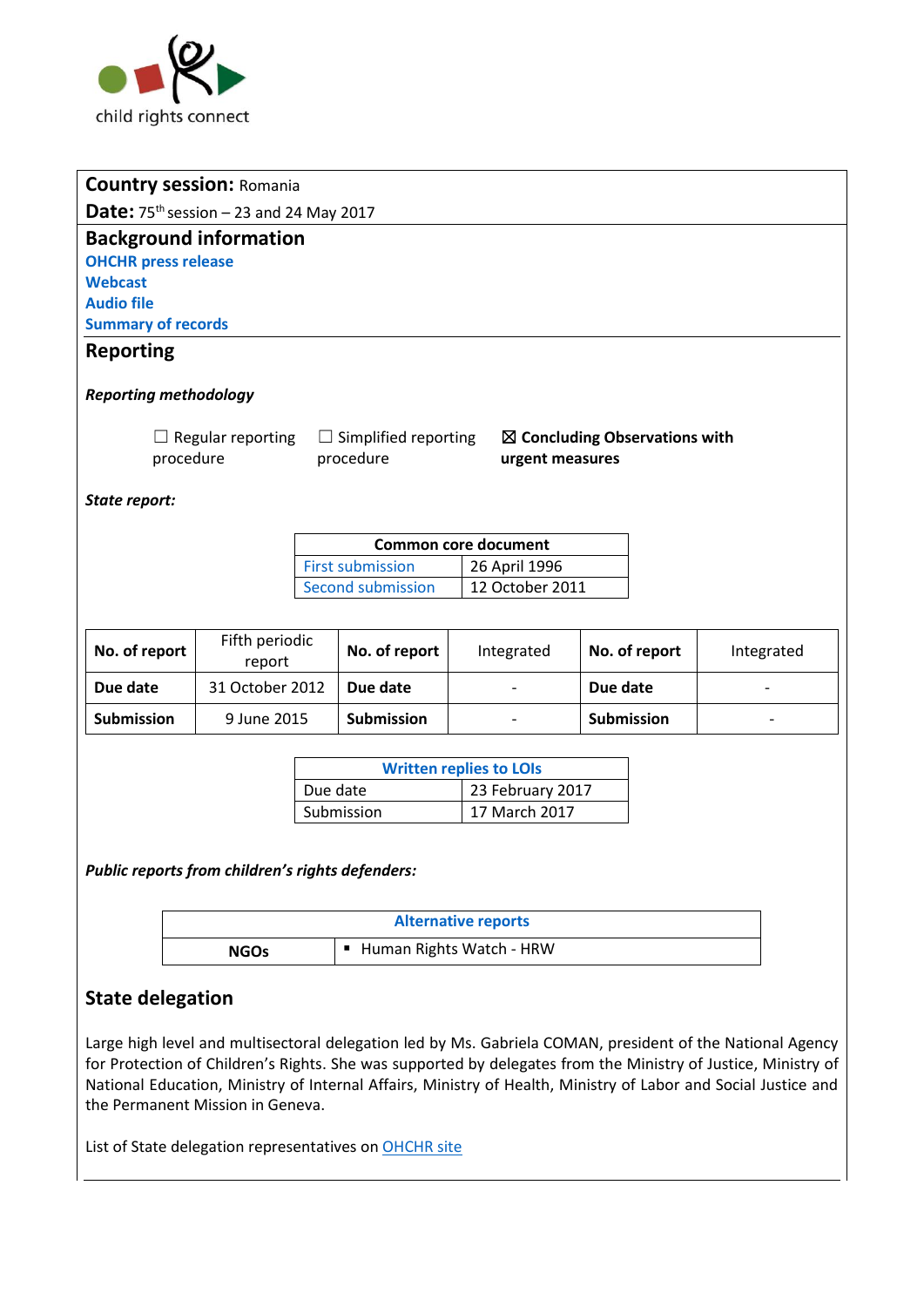

|                                                                                                                                                  | <b>Country session: Romania</b> |  |                          |                                |               |            |
|--------------------------------------------------------------------------------------------------------------------------------------------------|---------------------------------|--|--------------------------|--------------------------------|---------------|------------|
| Date: $75th$ session - 23 and 24 May 2017                                                                                                        |                                 |  |                          |                                |               |            |
| <b>Background information</b>                                                                                                                    |                                 |  |                          |                                |               |            |
| <b>OHCHR press release</b>                                                                                                                       |                                 |  |                          |                                |               |            |
| <b>Webcast</b>                                                                                                                                   |                                 |  |                          |                                |               |            |
| <b>Audio file</b>                                                                                                                                |                                 |  |                          |                                |               |            |
| <b>Summary of records</b>                                                                                                                        |                                 |  |                          |                                |               |            |
| <b>Reporting</b>                                                                                                                                 |                                 |  |                          |                                |               |            |
| <b>Reporting methodology</b>                                                                                                                     |                                 |  |                          |                                |               |            |
| $\Box$ Regular reporting<br>$\Box$ Simplified reporting<br>$\boxtimes$ Concluding Observations with<br>procedure<br>procedure<br>urgent measures |                                 |  |                          |                                |               |            |
| State report:                                                                                                                                    |                                 |  |                          |                                |               |            |
|                                                                                                                                                  |                                 |  |                          | <b>Common core document</b>    |               |            |
|                                                                                                                                                  |                                 |  | <b>First submission</b>  | 26 April 1996                  |               |            |
|                                                                                                                                                  |                                 |  | <b>Second submission</b> | 12 October 2011                |               |            |
| No. of report                                                                                                                                    | Fifth periodic<br>report        |  | No. of report            | Integrated                     | No. of report | Integrated |
| Due date                                                                                                                                         | 31 October 2012                 |  | Due date                 |                                | Due date      |            |
| <b>Submission</b>                                                                                                                                | 9 June 2015                     |  | <b>Submission</b>        |                                | Submission    |            |
|                                                                                                                                                  |                                 |  |                          |                                |               |            |
|                                                                                                                                                  |                                 |  |                          | <b>Written replies to LOIs</b> |               |            |
| Due date                                                                                                                                         |                                 |  |                          | 23 February 2017               |               |            |
|                                                                                                                                                  |                                 |  | Submission               | 17 March 2017                  |               |            |

| <b>Alternative reports</b> |                            |  |
|----------------------------|----------------------------|--|
| <b>NGOs</b>                | ■ Human Rights Watch - HRW |  |

# **State delegation**

Large high level and multisectoral delegation led by Ms. Gabriela COMAN, president of the National Agency for Protection of Children's Rights. She was supported by delegates from the Ministry of Justice, Ministry of National Education, Ministry of Internal Affairs, Ministry of Health, Ministry of Labor and Social Justice and the Permanent Mission in Geneva.

List of State delegation representatives on OHCHR site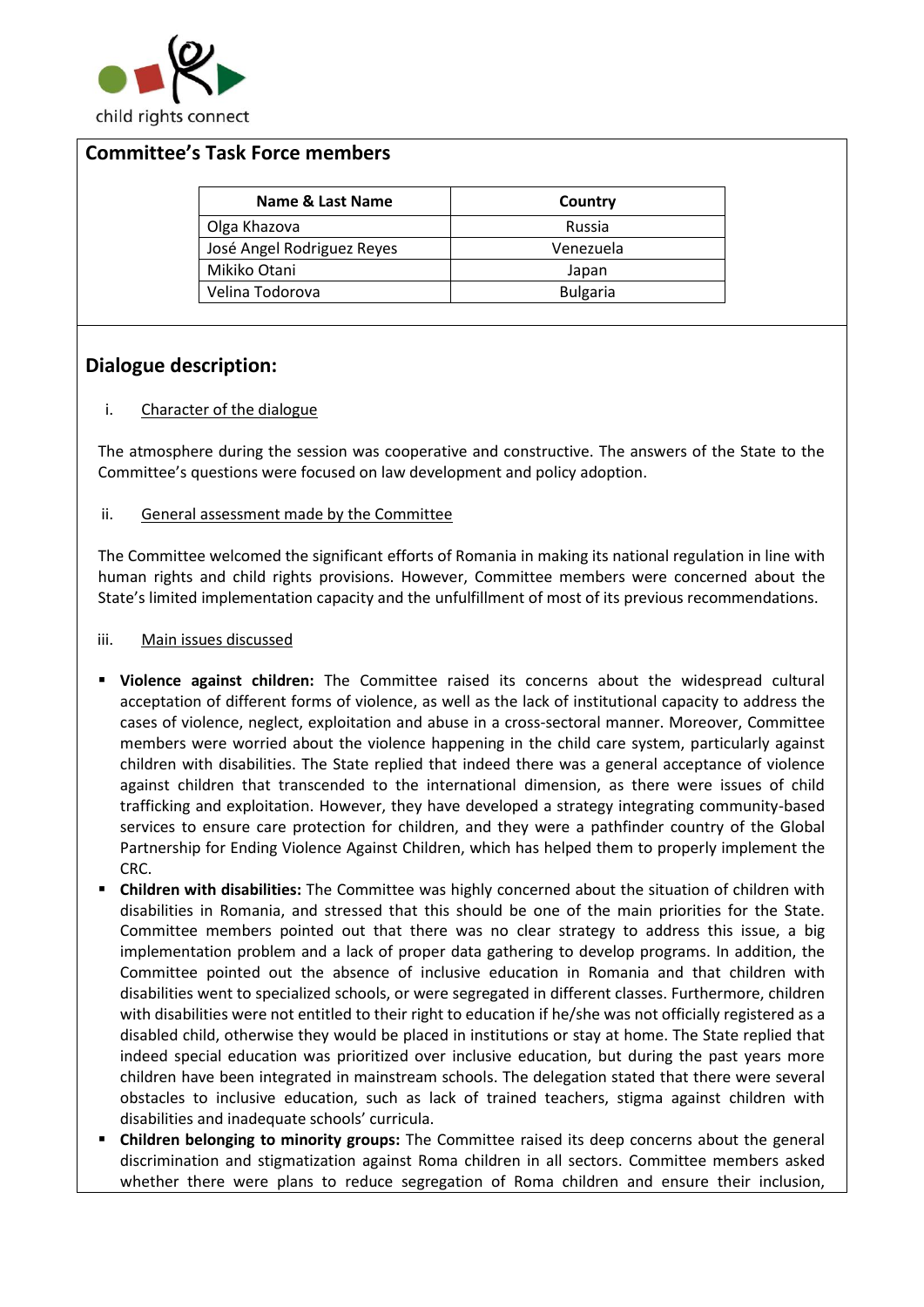

### **Committee's Task Force members**

| Name & Last Name           | Country         |
|----------------------------|-----------------|
| Olga Khazova               | Russia          |
| José Angel Rodriguez Reyes | Venezuela       |
| Mikiko Otani               | Japan           |
| Velina Todorova            | <b>Bulgaria</b> |

### **Dialogue description:**

#### i. Character of the dialogue

The atmosphere during the session was cooperative and constructive. The answers of the State to the Committee's questions were focused on law development and policy adoption.

ii. General assessment made by the Committee

The Committee welcomed the significant efforts of Romania in making its national regulation in line with human rights and child rights provisions. However, Committee members were concerned about the State's limited implementation capacity and the unfulfillment of most of its previous recommendations.

#### iii. Main issues discussed

- **Violence against children:** The Committee raised its concerns about the widespread cultural acceptation of different forms of violence, as well as the lack of institutional capacity to address the cases of violence, neglect, exploitation and abuse in a cross-sectoral manner. Moreover, Committee members were worried about the violence happening in the child care system, particularly against children with disabilities. The State replied that indeed there was a general acceptance of violence against children that transcended to the international dimension, as there were issues of child trafficking and exploitation. However, they have developed a strategy integrating community-based services to ensure care protection for children, and they were a pathfinder country of the Global Partnership for Ending Violence Against Children, which has helped them to properly implement the CRC.
- **Children with disabilities:** The Committee was highly concerned about the situation of children with disabilities in Romania, and stressed that this should be one of the main priorities for the State. Committee members pointed out that there was no clear strategy to address this issue, a big implementation problem and a lack of proper data gathering to develop programs. In addition, the Committee pointed out the absence of inclusive education in Romania and that children with disabilities went to specialized schools, or were segregated in different classes. Furthermore, children with disabilities were not entitled to their right to education if he/she was not officially registered as a disabled child, otherwise they would be placed in institutions or stay at home. The State replied that indeed special education was prioritized over inclusive education, but during the past years more children have been integrated in mainstream schools. The delegation stated that there were several obstacles to inclusive education, such as lack of trained teachers, stigma against children with disabilities and inadequate schools' curricula.
- **Children belonging to minority groups:** The Committee raised its deep concerns about the general discrimination and stigmatization against Roma children in all sectors. Committee members asked whether there were plans to reduce segregation of Roma children and ensure their inclusion,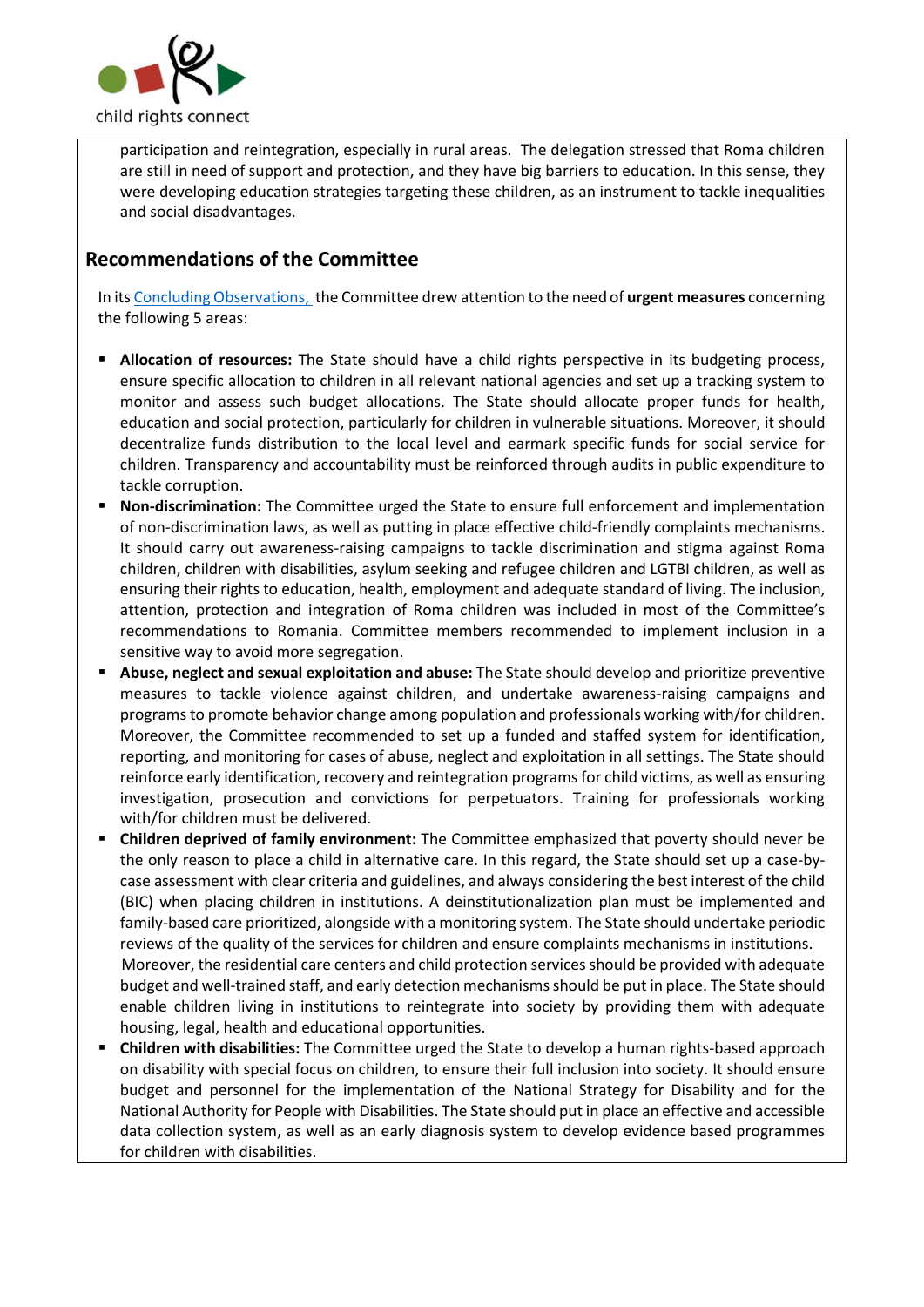

participation and reintegration, especially in rural areas. The delegation stressed that Roma children are still in need of support and protection, and they have big barriers to education. In this sense, they were developing education strategies targeting these children, as an instrument to tackle inequalities and social disadvantages.

# **Recommendations of the Committee**

In it[s Concluding Observations, t](http://tbinternet.ohchr.org/_layouts/treatybodyexternal/Download.aspx?symbolno=CRC%2fC%2fROU%2fCO%2f5&Lang=en)he Committee drew attention to the need of **urgent measures** concerning the following 5 areas:

- **Allocation of resources:** The State should have a child rights perspective in its budgeting process, ensure specific allocation to children in all relevant national agencies and set up a tracking system to monitor and assess such budget allocations. The State should allocate proper funds for health, education and social protection, particularly for children in vulnerable situations. Moreover, it should decentralize funds distribution to the local level and earmark specific funds for social service for children. Transparency and accountability must be reinforced through audits in public expenditure to tackle corruption.
- Non-discrimination: The Committee urged the State to ensure full enforcement and implementation of non-discrimination laws, as well as putting in place effective child-friendly complaints mechanisms. It should carry out awareness-raising campaigns to tackle discrimination and stigma against Roma children, children with disabilities, asylum seeking and refugee children and LGTBI children, as well as ensuring their rights to education, health, employment and adequate standard of living. The inclusion, attention, protection and integration of Roma children was included in most of the Committee's recommendations to Romania. Committee members recommended to implement inclusion in a sensitive way to avoid more segregation.
- **Abuse, neglect and sexual exploitation and abuse:** The State should develop and prioritize preventive measures to tackle violence against children, and undertake awareness-raising campaigns and programs to promote behavior change among population and professionals working with/for children. Moreover, the Committee recommended to set up a funded and staffed system for identification, reporting, and monitoring for cases of abuse, neglect and exploitation in all settings. The State should reinforce early identification, recovery and reintegration programs for child victims, as well as ensuring investigation, prosecution and convictions for perpetuators. Training for professionals working with/for children must be delivered.
- **Children deprived of family environment:** The Committee emphasized that poverty should never be the only reason to place a child in alternative care. In this regard, the State should set up a case-bycase assessment with clear criteria and guidelines, and always considering the best interest of the child (BIC) when placing children in institutions. A deinstitutionalization plan must be implemented and family-based care prioritized, alongside with a monitoring system. The State should undertake periodic reviews of the quality of the services for children and ensure complaints mechanisms in institutions. Moreover, the residential care centers and child protection services should be provided with adequate budget and well-trained staff, and early detection mechanisms should be put in place. The State should enable children living in institutions to reintegrate into society by providing them with adequate housing, legal, health and educational opportunities.
- **Children with disabilities:** The Committee urged the State to develop a human rights-based approach on disability with special focus on children, to ensure their full inclusion into society. It should ensure budget and personnel for the implementation of the National Strategy for Disability and for the National Authority for People with Disabilities. The State should put in place an effective and accessible data collection system, as well as an early diagnosis system to develop evidence based programmes for children with disabilities.